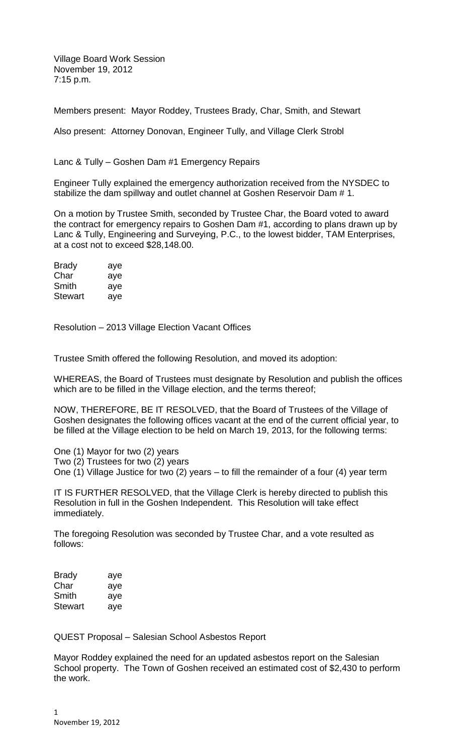Village Board Work Session November 19, 2012 7:15 p.m.

Members present: Mayor Roddey, Trustees Brady, Char, Smith, and Stewart

Also present: Attorney Donovan, Engineer Tully, and Village Clerk Strobl

Lanc & Tully – Goshen Dam #1 Emergency Repairs

Engineer Tully explained the emergency authorization received from the NYSDEC to stabilize the dam spillway and outlet channel at Goshen Reservoir Dam # 1.

On a motion by Trustee Smith, seconded by Trustee Char, the Board voted to award the contract for emergency repairs to Goshen Dam #1, according to plans drawn up by Lanc & Tully, Engineering and Surveying, P.C., to the lowest bidder, TAM Enterprises, at a cost not to exceed \$28,148.00.

| Brady   | aye |
|---------|-----|
| Char    | aye |
| Smith   | aye |
| Stewart | aye |

Resolution – 2013 Village Election Vacant Offices

Trustee Smith offered the following Resolution, and moved its adoption:

WHEREAS, the Board of Trustees must designate by Resolution and publish the offices which are to be filled in the Village election, and the terms thereof;

NOW, THEREFORE, BE IT RESOLVED, that the Board of Trustees of the Village of Goshen designates the following offices vacant at the end of the current official year, to be filled at the Village election to be held on March 19, 2013, for the following terms:

One (1) Mayor for two (2) years

Two (2) Trustees for two (2) years

One (1) Village Justice for two (2) years – to fill the remainder of a four (4) year term

IT IS FURTHER RESOLVED, that the Village Clerk is hereby directed to publish this Resolution in full in the Goshen Independent. This Resolution will take effect immediately.

The foregoing Resolution was seconded by Trustee Char, and a vote resulted as follows:

| Brady   | aye |
|---------|-----|
| Char    | aye |
| Smith   | aye |
| Stewart | aye |

QUEST Proposal – Salesian School Asbestos Report

Mayor Roddey explained the need for an updated asbestos report on the Salesian School property. The Town of Goshen received an estimated cost of \$2,430 to perform the work.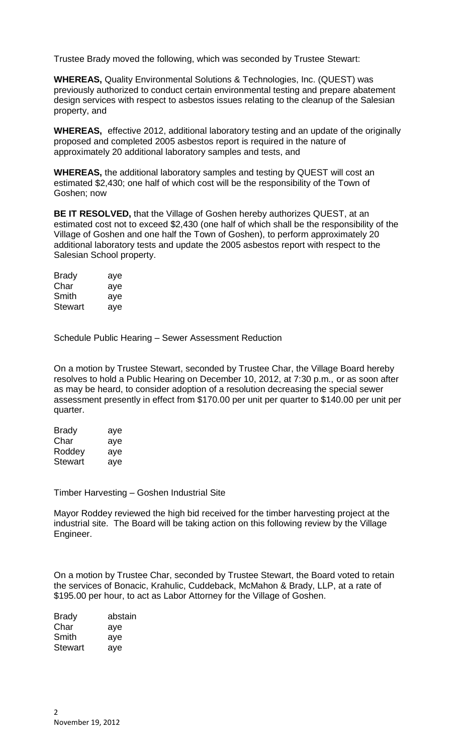Trustee Brady moved the following, which was seconded by Trustee Stewart:

**WHEREAS,** Quality Environmental Solutions & Technologies, Inc. (QUEST) was previously authorized to conduct certain environmental testing and prepare abatement design services with respect to asbestos issues relating to the cleanup of the Salesian property, and

**WHEREAS,** effective 2012, additional laboratory testing and an update of the originally proposed and completed 2005 asbestos report is required in the nature of approximately 20 additional laboratory samples and tests, and

**WHEREAS,** the additional laboratory samples and testing by QUEST will cost an estimated \$2,430; one half of which cost will be the responsibility of the Town of Goshen; now

**BE IT RESOLVED,** that the Village of Goshen hereby authorizes QUEST, at an estimated cost not to exceed \$2,430 (one half of which shall be the responsibility of the Village of Goshen and one half the Town of Goshen), to perform approximately 20 additional laboratory tests and update the 2005 asbestos report with respect to the Salesian School property.

| <b>Brady</b> | aye |
|--------------|-----|
| Char         | aye |
| Smith        | aye |
| Stewart      | aye |

Schedule Public Hearing – Sewer Assessment Reduction

On a motion by Trustee Stewart, seconded by Trustee Char, the Village Board hereby resolves to hold a Public Hearing on December 10, 2012, at 7:30 p.m., or as soon after as may be heard, to consider adoption of a resolution decreasing the special sewer assessment presently in effect from \$170.00 per unit per quarter to \$140.00 per unit per quarter.

| <b>Brady</b> | aye |
|--------------|-----|
| Char         | aye |
| Roddey       | aye |
| Stewart      | aye |

Timber Harvesting – Goshen Industrial Site

Mayor Roddey reviewed the high bid received for the timber harvesting project at the industrial site. The Board will be taking action on this following review by the Village Engineer.

On a motion by Trustee Char, seconded by Trustee Stewart, the Board voted to retain the services of Bonacic, Krahulic, Cuddeback, McMahon & Brady, LLP, at a rate of \$195.00 per hour, to act as Labor Attorney for the Village of Goshen.

| <b>Brady</b>   | abstain |  |
|----------------|---------|--|
| Char           | aye     |  |
| Smith          | aye     |  |
| <b>Stewart</b> | aye     |  |